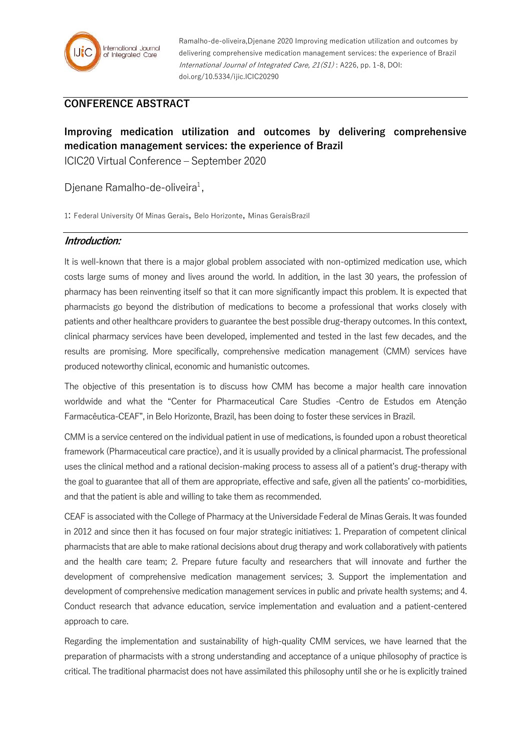

Ramalho-de-oliveira,Djenane 2020 Improving medication utilization and outcomes by delivering comprehensive medication management services: the experience of Brazil International Journal of Integrated Care, 21(S1) : A226, pp. 1-8, DOI: doi.org/10.5334/ijic.ICIC20290

## **CONFERENCE ABSTRACT**

## **Improving medication utilization and outcomes by delivering comprehensive medication management services: the experience of Brazil**

ICIC20 Virtual Conference – September 2020

## Djenane Ramalho-de-oliveira<sup>1</sup>,

1: Federal University Of Minas Gerais, Belo Horizonte, Minas GeraisBrazil

## **Introduction:**

It is well-known that there is a major global problem associated with non-optimized medication use, which costs large sums of money and lives around the world. In addition, in the last 30 years, the profession of pharmacy has been reinventing itself so that it can more significantly impact this problem. It is expected that pharmacists go beyond the distribution of medications to become a professional that works closely with patients and other healthcare providers to guarantee the best possible drug-therapy outcomes. In this context, clinical pharmacy services have been developed, implemented and tested in the last few decades, and the results are promising. More specifically, comprehensive medication management (CMM) services have produced noteworthy clinical, economic and humanistic outcomes.

The objective of this presentation is to discuss how CMM has become a major health care innovation worldwide and what the "Center for Pharmaceutical Care Studies -Centro de Estudos em Atenção Farmacêutica-CEAF", in Belo Horizonte, Brazil, has been doing to foster these services in Brazil.

CMM is a service centered on the individual patient in use of medications, is founded upon a robust theoretical framework (Pharmaceutical care practice), and it is usually provided by a clinical pharmacist. The professional uses the clinical method and a rational decision-making process to assess all of a patient's drug-therapy with the goal to guarantee that all of them are appropriate, effective and safe, given all the patients' co-morbidities, and that the patient is able and willing to take them as recommended.

CEAF is associated with the College of Pharmacy at the Universidade Federal de Minas Gerais. It was founded in 2012 and since then it has focused on four major strategic initiatives: 1. Preparation of competent clinical pharmacists that are able to make rational decisions about drug therapy and work collaboratively with patients and the health care team; 2. Prepare future faculty and researchers that will innovate and further the development of comprehensive medication management services; 3. Support the implementation and development of comprehensive medication management services in public and private health systems; and 4. Conduct research that advance education, service implementation and evaluation and a patient-centered approach to care.

Regarding the implementation and sustainability of high-quality CMM services, we have learned that the preparation of pharmacists with a strong understanding and acceptance of a unique philosophy of practice is critical. The traditional pharmacist does not have assimilated this philosophy until she or he is explicitly trained